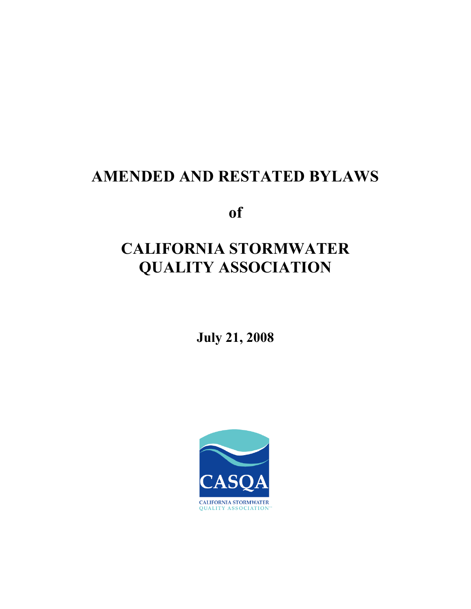## **AMENDED AND RESTATED BYLAWS**

**of** 

## **CALIFORNIA STORMWATER QUALITY ASSOCIATION**

**July 21, 2008**

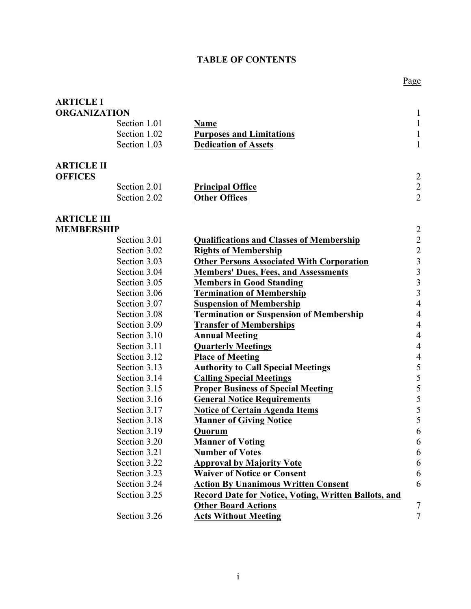### **TABLE OF CONTENTS**

## **ARTICLE I**

| <b>ORGANIZATION</b> |                                 |  |
|---------------------|---------------------------------|--|
| Section 1.01        | <b>Name</b>                     |  |
| Section 1.02        | <b>Purposes and Limitations</b> |  |
| Section 1.03        | <b>Dedication of Assets</b>     |  |

## **ARTICLE II**

| <b>OFFICES</b> |              |                         |  |
|----------------|--------------|-------------------------|--|
|                | Section 2.01 | <b>Principal Office</b> |  |
|                | Section 2.02 | Other Offices           |  |

#### **ARTICLE III MEMBERSHIP** 2

| Section 3.01 | <b>Qualifications and Classes of Membership</b>             | $\overline{c}$                             |
|--------------|-------------------------------------------------------------|--------------------------------------------|
| Section 3.02 | <b>Rights of Membership</b>                                 | $\overline{c}$                             |
| Section 3.03 | <b>Other Persons Associated With Corporation</b>            | 3                                          |
| Section 3.04 | <b>Members' Dues, Fees, and Assessments</b>                 | $\overline{\mathbf{3}}$                    |
| Section 3.05 | <b>Members in Good Standing</b>                             | $\overline{\mathbf{3}}$                    |
| Section 3.06 | <b>Termination of Membership</b>                            | $\overline{3}$                             |
| Section 3.07 | <b>Suspension of Membership</b>                             | $\overline{4}$                             |
| Section 3.08 | <b>Termination or Suspension of Membership</b>              | $\overline{4}$                             |
| Section 3.09 | <b>Transfer of Memberships</b>                              | $\overline{4}$                             |
| Section 3.10 | <b>Annual Meeting</b>                                       | $\overline{4}$                             |
| Section 3.11 | <b>Quarterly Meetings</b>                                   | $\overline{4}$                             |
| Section 3.12 | <b>Place of Meeting</b>                                     | $\overline{\mathcal{L}}$                   |
| Section 3.13 | <b>Authority to Call Special Meetings</b>                   |                                            |
| Section 3.14 | <b>Calling Special Meetings</b>                             | $\begin{array}{c} 5 \\ 5 \\ 5 \end{array}$ |
| Section 3.15 | <b>Proper Business of Special Meeting</b>                   |                                            |
| Section 3.16 | <b>General Notice Requirements</b>                          | 5                                          |
| Section 3.17 | <b>Notice of Certain Agenda Items</b>                       | 5                                          |
| Section 3.18 | <b>Manner of Giving Notice</b>                              | 5                                          |
| Section 3.19 | <b>Ouorum</b>                                               | 6                                          |
| Section 3.20 | <b>Manner of Voting</b>                                     | 6                                          |
| Section 3.21 | <b>Number of Votes</b>                                      | 6                                          |
| Section 3.22 | <b>Approval by Majority Vote</b>                            | 6                                          |
| Section 3.23 | <b>Waiver of Notice or Consent</b>                          | 6                                          |
| Section 3.24 | <b>Action By Unanimous Written Consent</b>                  | 6                                          |
| Section 3.25 | <b>Record Date for Notice, Voting, Written Ballots, and</b> |                                            |
|              | <b>Other Board Actions</b>                                  | 7                                          |
| Section 3.26 | <b>Acts Without Meeting</b>                                 | $\overline{7}$                             |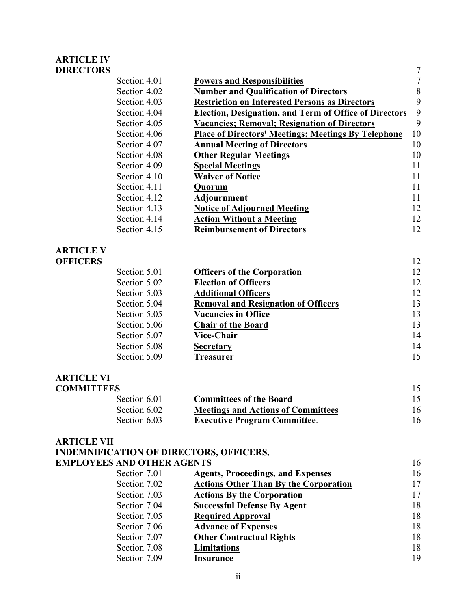# **ARTICLE IV**

| <b>DIRECTORS</b> |              |                                                               |    |
|------------------|--------------|---------------------------------------------------------------|----|
|                  | Section 4.01 | <b>Powers and Responsibilities</b>                            |    |
|                  | Section 4.02 | <b>Number and Qualification of Directors</b>                  | 8  |
|                  | Section 4.03 | <b>Restriction on Interested Persons as Directors</b>         | 9  |
|                  | Section 4.04 | <b>Election, Designation, and Term of Office of Directors</b> | 9  |
|                  | Section 4.05 | <b>Vacancies; Removal; Resignation of Directors</b>           | 9  |
|                  | Section 4.06 | <b>Place of Directors' Meetings; Meetings By Telephone</b>    | 10 |
|                  | Section 4.07 | <b>Annual Meeting of Directors</b>                            | 10 |
|                  | Section 4.08 | <b>Other Regular Meetings</b>                                 | 10 |
|                  | Section 4.09 | <b>Special Meetings</b>                                       | 11 |
|                  | Section 4.10 | <b>Waiver of Notice</b>                                       | 11 |
|                  | Section 4.11 | Ouorum                                                        | 11 |
|                  | Section 4.12 | Adjournment                                                   | 11 |
|                  | Section 4.13 | <b>Notice of Adjourned Meeting</b>                            | 12 |
|                  | Section 4.14 | <b>Action Without a Meeting</b>                               | 12 |
|                  | Section 4.15 | <b>Reimbursement of Directors</b>                             | 12 |

#### **ARTICLE V OFFICERS** 12

| Section 5.01 | <b>Officers of the Corporation</b>         | 12 |
|--------------|--------------------------------------------|----|
| Section 5.02 | <b>Election of Officers</b>                | 12 |
| Section 5.03 | <b>Additional Officers</b>                 | 12 |
| Section 5.04 | <b>Removal and Resignation of Officers</b> | 13 |
| Section 5.05 | <b>Vacancies in Office</b>                 | 13 |
| Section 5.06 | <b>Chair of the Board</b>                  | 13 |
| Section 5.07 | <b>Vice-Chair</b>                          | 14 |
| Section 5.08 | <b>Secretary</b>                           | 14 |
| Section 5.09 | <b>Treasurer</b>                           | 15 |

#### **ARTICLE VI COMMITTEES** 15

| Section 6.01 | <b>Committees of the Board</b>            | 15 |
|--------------|-------------------------------------------|----|
| Section 6.02 | <b>Meetings and Actions of Committees</b> | 16 |
| Section 6.03 | <b>Executive Program Committee.</b>       | 16 |

### **ARTICLE VII**

**INDEMNIFICATION OF DIRECTORS, OFFICERS,** 

| <b>EMPLOYEES AND OTHER AGENTS</b> |                                              | 16 |
|-----------------------------------|----------------------------------------------|----|
| Section 7.01                      | <b>Agents, Proceedings, and Expenses</b>     | 16 |
| Section 7.02                      | <b>Actions Other Than By the Corporation</b> | 17 |
| Section 7.03                      | <b>Actions By the Corporation</b>            | 17 |
| Section 7.04                      | <b>Successful Defense By Agent</b>           | 18 |
| Section 7.05                      | <b>Required Approval</b>                     | 18 |
| Section 7.06                      | <b>Advance of Expenses</b>                   | 18 |
| Section 7.07                      | <b>Other Contractual Rights</b>              | 18 |
| Section 7.08                      | <b>Limitations</b>                           | 18 |
| Section 7.09                      | <b>Insurance</b>                             | 19 |
|                                   |                                              |    |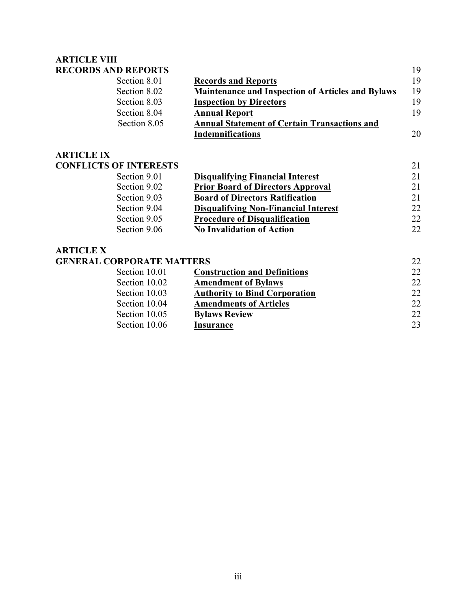#### **ARTICLE VIII RECORDS AND REPORTS** 19

| Section 8.01                                                                                                       | <b>Records and Reports</b>                                                                                                                                                   | 19                         |
|--------------------------------------------------------------------------------------------------------------------|------------------------------------------------------------------------------------------------------------------------------------------------------------------------------|----------------------------|
| Section 8.02                                                                                                       | Maintenance and Inspection of Articles and Bylaws                                                                                                                            | 19                         |
| Section 8.03                                                                                                       | <b>Inspection by Directors</b>                                                                                                                                               | 19                         |
| Section 8.04                                                                                                       | <b>Annual Report</b>                                                                                                                                                         | 19                         |
| Section 8.05                                                                                                       | <b>Annual Statement of Certain Transactions and</b>                                                                                                                          |                            |
|                                                                                                                    | <b>Indemnifications</b>                                                                                                                                                      | 20                         |
| <b>ARTICLE IX</b><br><b>CONFLICTS OF INTERESTS</b><br>Section 9.01<br>Section 9.02<br>Section 9.03<br>Section 9.04 | <b>Disqualifying Financial Interest</b><br><b>Prior Board of Directors Approval</b><br><b>Board of Directors Ratification</b><br><b>Disqualifying Non-Financial Interest</b> | 21<br>21<br>21<br>21<br>22 |
| Section 9.05                                                                                                       | <b>Procedure of Disqualification</b>                                                                                                                                         | 22                         |
| Section 9.06                                                                                                       | <b>No Invalidation of Action</b>                                                                                                                                             | 22                         |
|                                                                                                                    |                                                                                                                                                                              |                            |

### **ARTICLE X**

### **GENERAL CORPORATE MATTERS** 22

| Section 10.01 | <b>Construction and Definitions</b>  | 22 |
|---------------|--------------------------------------|----|
| Section 10.02 | <b>Amendment of Bylaws</b>           | 22 |
| Section 10.03 | <b>Authority to Bind Corporation</b> | 22 |
| Section 10.04 | <b>Amendments of Articles</b>        | 22 |
| Section 10.05 | <b>Bylaws Review</b>                 | 22 |
| Section 10.06 | Insurance                            | 23 |
|               |                                      |    |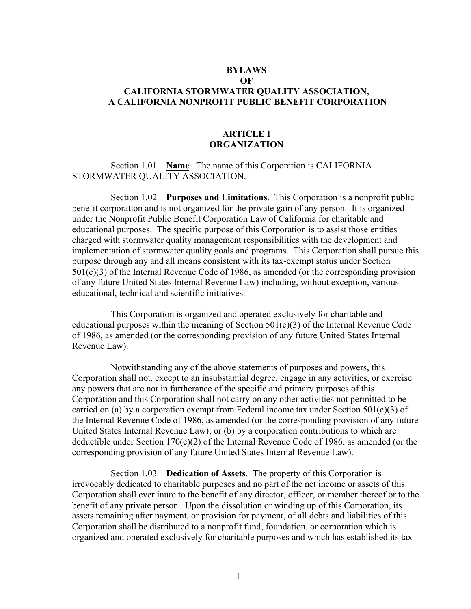#### **BYLAWS OF CALIFORNIA STORMWATER QUALITY ASSOCIATION, A CALIFORNIA NONPROFIT PUBLIC BENEFIT CORPORATION**

#### **ARTICLE I ORGANIZATION**

Section 1.01 **Name**. The name of this Corporation is CALIFORNIA STORMWATER QUALITY ASSOCIATION.

Section 1.02 **Purposes and Limitations**. This Corporation is a nonprofit public benefit corporation and is not organized for the private gain of any person. It is organized under the Nonprofit Public Benefit Corporation Law of California for charitable and educational purposes. The specific purpose of this Corporation is to assist those entities charged with stormwater quality management responsibilities with the development and implementation of stormwater quality goals and programs. This Corporation shall pursue this purpose through any and all means consistent with its tax-exempt status under Section 501(c)(3) of the Internal Revenue Code of 1986, as amended (or the corresponding provision of any future United States Internal Revenue Law) including, without exception, various educational, technical and scientific initiatives.

This Corporation is organized and operated exclusively for charitable and educational purposes within the meaning of Section  $501(c)(3)$  of the Internal Revenue Code of 1986, as amended (or the corresponding provision of any future United States Internal Revenue Law).

Notwithstanding any of the above statements of purposes and powers, this Corporation shall not, except to an insubstantial degree, engage in any activities, or exercise any powers that are not in furtherance of the specific and primary purposes of this Corporation and this Corporation shall not carry on any other activities not permitted to be carried on (a) by a corporation exempt from Federal income tax under Section  $501(c)(3)$  of the Internal Revenue Code of 1986, as amended (or the corresponding provision of any future United States Internal Revenue Law); or (b) by a corporation contributions to which are deductible under Section 170(c)(2) of the Internal Revenue Code of 1986, as amended (or the corresponding provision of any future United States Internal Revenue Law).

Section 1.03 **Dedication of Assets**. The property of this Corporation is irrevocably dedicated to charitable purposes and no part of the net income or assets of this Corporation shall ever inure to the benefit of any director, officer, or member thereof or to the benefit of any private person. Upon the dissolution or winding up of this Corporation, its assets remaining after payment, or provision for payment, of all debts and liabilities of this Corporation shall be distributed to a nonprofit fund, foundation, or corporation which is organized and operated exclusively for charitable purposes and which has established its tax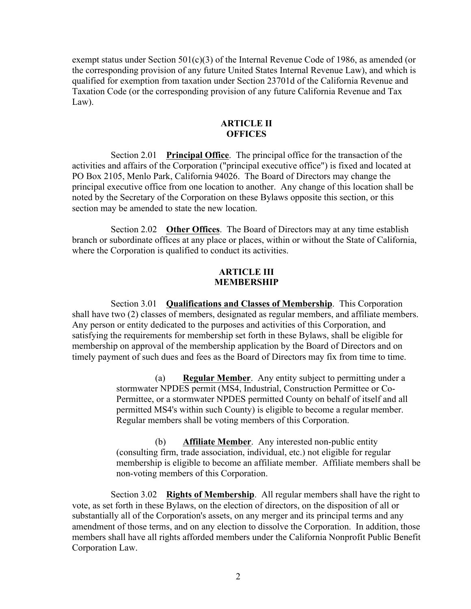exempt status under Section 501(c)(3) of the Internal Revenue Code of 1986, as amended (or the corresponding provision of any future United States Internal Revenue Law), and which is qualified for exemption from taxation under Section 23701d of the California Revenue and Taxation Code (or the corresponding provision of any future California Revenue and Tax Law).

#### **ARTICLE II OFFICES**

Section 2.01 **Principal Office**. The principal office for the transaction of the activities and affairs of the Corporation ("principal executive office") is fixed and located at PO Box 2105, Menlo Park, California 94026. The Board of Directors may change the principal executive office from one location to another. Any change of this location shall be noted by the Secretary of the Corporation on these Bylaws opposite this section, or this section may be amended to state the new location.

Section 2.02 **Other Offices**. The Board of Directors may at any time establish branch or subordinate offices at any place or places, within or without the State of California, where the Corporation is qualified to conduct its activities.

#### **ARTICLE III MEMBERSHIP**

Section 3.01 **Qualifications and Classes of Membership**. This Corporation shall have two (2) classes of members, designated as regular members, and affiliate members. Any person or entity dedicated to the purposes and activities of this Corporation, and satisfying the requirements for membership set forth in these Bylaws, shall be eligible for membership on approval of the membership application by the Board of Directors and on timely payment of such dues and fees as the Board of Directors may fix from time to time.

> (a) **Regular Member**. Any entity subject to permitting under a stormwater NPDES permit (MS4, Industrial, Construction Permittee or Co-Permittee, or a stormwater NPDES permitted County on behalf of itself and all permitted MS4's within such County) is eligible to become a regular member. Regular members shall be voting members of this Corporation.

(b) **Affiliate Member**. Any interested non-public entity (consulting firm, trade association, individual, etc.) not eligible for regular membership is eligible to become an affiliate member. Affiliate members shall be non-voting members of this Corporation.

Section 3.02 **Rights of Membership**. All regular members shall have the right to vote, as set forth in these Bylaws, on the election of directors, on the disposition of all or substantially all of the Corporation's assets, on any merger and its principal terms and any amendment of those terms, and on any election to dissolve the Corporation. In addition, those members shall have all rights afforded members under the California Nonprofit Public Benefit Corporation Law.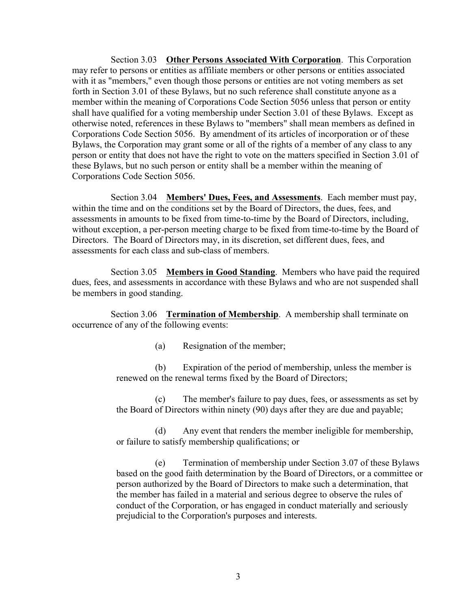Section 3.03 **Other Persons Associated With Corporation**. This Corporation may refer to persons or entities as affiliate members or other persons or entities associated with it as "members," even though those persons or entities are not voting members as set forth in Section 3.01 of these Bylaws, but no such reference shall constitute anyone as a member within the meaning of Corporations Code Section 5056 unless that person or entity shall have qualified for a voting membership under Section 3.01 of these Bylaws. Except as otherwise noted, references in these Bylaws to "members" shall mean members as defined in Corporations Code Section 5056. By amendment of its articles of incorporation or of these Bylaws, the Corporation may grant some or all of the rights of a member of any class to any person or entity that does not have the right to vote on the matters specified in Section 3.01 of these Bylaws, but no such person or entity shall be a member within the meaning of Corporations Code Section 5056.

Section 3.04 **Members' Dues, Fees, and Assessments**. Each member must pay, within the time and on the conditions set by the Board of Directors, the dues, fees, and assessments in amounts to be fixed from time-to-time by the Board of Directors, including, without exception, a per-person meeting charge to be fixed from time-to-time by the Board of Directors. The Board of Directors may, in its discretion, set different dues, fees, and assessments for each class and sub-class of members.

Section 3.05 **Members in Good Standing**. Members who have paid the required dues, fees, and assessments in accordance with these Bylaws and who are not suspended shall be members in good standing.

Section 3.06 **Termination of Membership**. A membership shall terminate on occurrence of any of the following events:

(a) Resignation of the member;

(b) Expiration of the period of membership, unless the member is renewed on the renewal terms fixed by the Board of Directors;

(c) The member's failure to pay dues, fees, or assessments as set by the Board of Directors within ninety (90) days after they are due and payable;

(d) Any event that renders the member ineligible for membership, or failure to satisfy membership qualifications; or

(e) Termination of membership under Section 3.07 of these Bylaws based on the good faith determination by the Board of Directors, or a committee or person authorized by the Board of Directors to make such a determination, that the member has failed in a material and serious degree to observe the rules of conduct of the Corporation, or has engaged in conduct materially and seriously prejudicial to the Corporation's purposes and interests.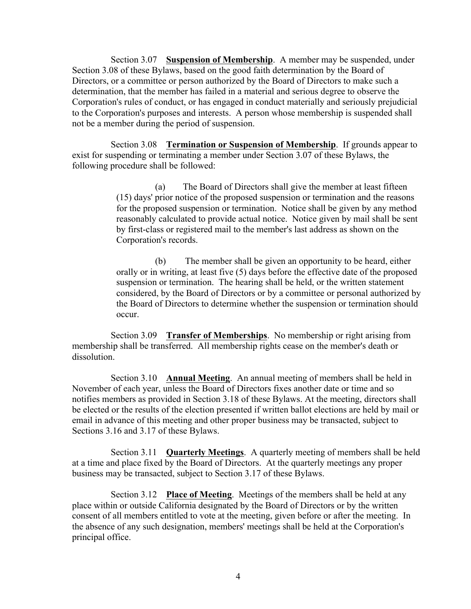Section 3.07 **Suspension of Membership**. A member may be suspended, under Section 3.08 of these Bylaws, based on the good faith determination by the Board of Directors, or a committee or person authorized by the Board of Directors to make such a determination, that the member has failed in a material and serious degree to observe the Corporation's rules of conduct, or has engaged in conduct materially and seriously prejudicial to the Corporation's purposes and interests. A person whose membership is suspended shall not be a member during the period of suspension.

Section 3.08 **Termination or Suspension of Membership**. If grounds appear to exist for suspending or terminating a member under Section 3.07 of these Bylaws, the following procedure shall be followed:

> (a) The Board of Directors shall give the member at least fifteen (15) days' prior notice of the proposed suspension or termination and the reasons for the proposed suspension or termination. Notice shall be given by any method reasonably calculated to provide actual notice. Notice given by mail shall be sent by first-class or registered mail to the member's last address as shown on the Corporation's records.

> (b) The member shall be given an opportunity to be heard, either orally or in writing, at least five (5) days before the effective date of the proposed suspension or termination. The hearing shall be held, or the written statement considered, by the Board of Directors or by a committee or personal authorized by the Board of Directors to determine whether the suspension or termination should occur.

Section 3.09 **Transfer of Memberships**. No membership or right arising from membership shall be transferred. All membership rights cease on the member's death or dissolution.

Section 3.10 **Annual Meeting**. An annual meeting of members shall be held in November of each year, unless the Board of Directors fixes another date or time and so notifies members as provided in Section 3.18 of these Bylaws. At the meeting, directors shall be elected or the results of the election presented if written ballot elections are held by mail or email in advance of this meeting and other proper business may be transacted, subject to Sections 3.16 and 3.17 of these Bylaws.

Section 3.11 **Quarterly Meetings**. A quarterly meeting of members shall be held at a time and place fixed by the Board of Directors. At the quarterly meetings any proper business may be transacted, subject to Section 3.17 of these Bylaws.

Section 3.12 **Place of Meeting**. Meetings of the members shall be held at any place within or outside California designated by the Board of Directors or by the written consent of all members entitled to vote at the meeting, given before or after the meeting. In the absence of any such designation, members' meetings shall be held at the Corporation's principal office.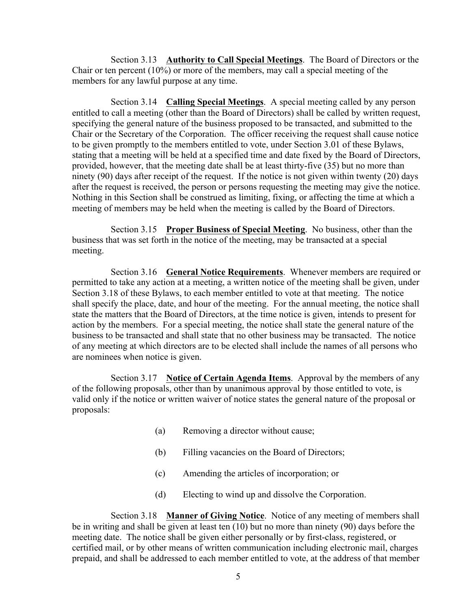Section 3.13 **Authority to Call Special Meetings**. The Board of Directors or the Chair or ten percent (10%) or more of the members, may call a special meeting of the members for any lawful purpose at any time.

Section 3.14 **Calling Special Meetings**. A special meeting called by any person entitled to call a meeting (other than the Board of Directors) shall be called by written request, specifying the general nature of the business proposed to be transacted, and submitted to the Chair or the Secretary of the Corporation. The officer receiving the request shall cause notice to be given promptly to the members entitled to vote, under Section 3.01 of these Bylaws, stating that a meeting will be held at a specified time and date fixed by the Board of Directors, provided, however, that the meeting date shall be at least thirty-five (35) but no more than ninety (90) days after receipt of the request. If the notice is not given within twenty (20) days after the request is received, the person or persons requesting the meeting may give the notice. Nothing in this Section shall be construed as limiting, fixing, or affecting the time at which a meeting of members may be held when the meeting is called by the Board of Directors.

Section 3.15 **Proper Business of Special Meeting**. No business, other than the business that was set forth in the notice of the meeting, may be transacted at a special meeting.

Section 3.16 **General Notice Requirements**. Whenever members are required or permitted to take any action at a meeting, a written notice of the meeting shall be given, under Section 3.18 of these Bylaws, to each member entitled to vote at that meeting. The notice shall specify the place, date, and hour of the meeting. For the annual meeting, the notice shall state the matters that the Board of Directors, at the time notice is given, intends to present for action by the members. For a special meeting, the notice shall state the general nature of the business to be transacted and shall state that no other business may be transacted. The notice of any meeting at which directors are to be elected shall include the names of all persons who are nominees when notice is given.

Section 3.17 **Notice of Certain Agenda Items**. Approval by the members of any of the following proposals, other than by unanimous approval by those entitled to vote, is valid only if the notice or written waiver of notice states the general nature of the proposal or proposals:

- (a) Removing a director without cause;
- (b) Filling vacancies on the Board of Directors;
- (c) Amending the articles of incorporation; or
- (d) Electing to wind up and dissolve the Corporation.

Section 3.18 **Manner of Giving Notice**. Notice of any meeting of members shall be in writing and shall be given at least ten (10) but no more than ninety (90) days before the meeting date. The notice shall be given either personally or by first-class, registered, or certified mail, or by other means of written communication including electronic mail, charges prepaid, and shall be addressed to each member entitled to vote, at the address of that member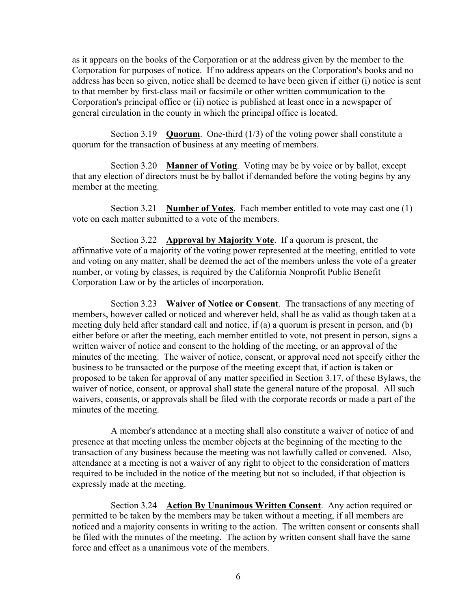as it appears on the books of the Corporation or at the address given by the member to the Corporation for purposes of notice. If no address appears on the Corporation's books and no address has been so given, notice shall be deemed to have been given if either (i) notice is sent to that member by first-class mail or facsimile or other written communication to the Corporation's principal office or (ii) notice is published at least once in a newspaper of general circulation in the county in which the principal office is located.

Section 3.19 **Quorum**. One-third (1/3) of the voting power shall constitute a quorum for the transaction of business at any meeting of members.

Section 3.20 **Manner of Voting**. Voting may be by voice or by ballot, except that any election of directors must be by ballot if demanded before the voting begins by any member at the meeting.

Section 3.21 **Number of Votes**. Each member entitled to vote may cast one (1) vote on each matter submitted to a vote of the members.

Section 3.22 **Approval by Majority Vote**. If a quorum is present, the affirmative vote of a majority of the voting power represented at the meeting, entitled to vote and voting on any matter, shall be deemed the act of the members unless the vote of a greater number, or voting by classes, is required by the California Nonprofit Public Benefit Corporation Law or by the articles of incorporation.

Section 3.23 **Waiver of Notice or Consent**. The transactions of any meeting of members, however called or noticed and wherever held, shall be as valid as though taken at a meeting duly held after standard call and notice, if (a) a quorum is present in person, and (b) either before or after the meeting, each member entitled to vote, not present in person, signs a written waiver of notice and consent to the holding of the meeting, or an approval of the minutes of the meeting. The waiver of notice, consent, or approval need not specify either the business to be transacted or the purpose of the meeting except that, if action is taken or proposed to be taken for approval of any matter specified in Section 3.17, of these Bylaws, the waiver of notice, consent, or approval shall state the general nature of the proposal. All such waivers, consents, or approvals shall be filed with the corporate records or made a part of the minutes of the meeting.

A member's attendance at a meeting shall also constitute a waiver of notice of and presence at that meeting unless the member objects at the beginning of the meeting to the transaction of any business because the meeting was not lawfully called or convened. Also, attendance at a meeting is not a waiver of any right to object to the consideration of matters required to be included in the notice of the meeting but not so included, if that objection is expressly made at the meeting.

Section 3.24 **Action By Unanimous Written Consent**. Any action required or permitted to be taken by the members may be taken without a meeting, if all members are noticed and a majority consents in writing to the action. The written consent or consents shall be filed with the minutes of the meeting. The action by written consent shall have the same force and effect as a unanimous vote of the members.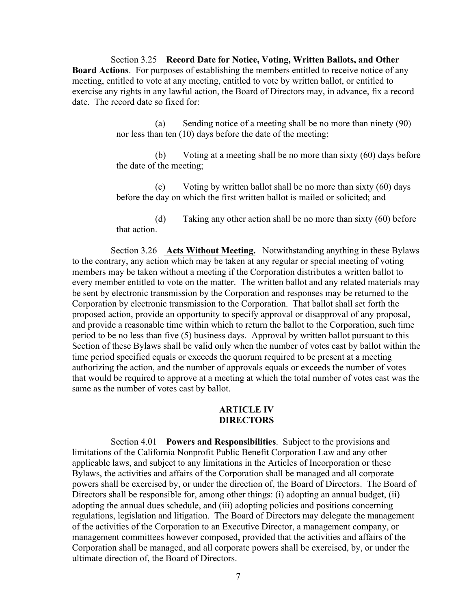Section 3.25 **Record Date for Notice, Voting, Written Ballots, and Other Board Actions**. For purposes of establishing the members entitled to receive notice of any meeting, entitled to vote at any meeting, entitled to vote by written ballot, or entitled to exercise any rights in any lawful action, the Board of Directors may, in advance, fix a record date. The record date so fixed for:

> (a) Sending notice of a meeting shall be no more than ninety (90) nor less than ten (10) days before the date of the meeting;

(b) Voting at a meeting shall be no more than sixty (60) days before the date of the meeting;

(c) Voting by written ballot shall be no more than sixty (60) days before the day on which the first written ballot is mailed or solicited; and

(d) Taking any other action shall be no more than sixty (60) before that action.

Section 3.26 **Acts Without Meeting.** Notwithstanding anything in these Bylaws to the contrary, any action which may be taken at any regular or special meeting of voting members may be taken without a meeting if the Corporation distributes a written ballot to every member entitled to vote on the matter. The written ballot and any related materials may be sent by electronic transmission by the Corporation and responses may be returned to the Corporation by electronic transmission to the Corporation. That ballot shall set forth the proposed action, provide an opportunity to specify approval or disapproval of any proposal, and provide a reasonable time within which to return the ballot to the Corporation, such time period to be no less than five (5) business days. Approval by written ballot pursuant to this Section of these Bylaws shall be valid only when the number of votes cast by ballot within the time period specified equals or exceeds the quorum required to be present at a meeting authorizing the action, and the number of approvals equals or exceeds the number of votes that would be required to approve at a meeting at which the total number of votes cast was the same as the number of votes cast by ballot.

#### **ARTICLE IV DIRECTORS**

Section 4.01 **Powers and Responsibilities**. Subject to the provisions and limitations of the California Nonprofit Public Benefit Corporation Law and any other applicable laws, and subject to any limitations in the Articles of Incorporation or these Bylaws, the activities and affairs of the Corporation shall be managed and all corporate powers shall be exercised by, or under the direction of, the Board of Directors. The Board of Directors shall be responsible for, among other things: (i) adopting an annual budget, (ii) adopting the annual dues schedule, and (iii) adopting policies and positions concerning regulations, legislation and litigation. The Board of Directors may delegate the management of the activities of the Corporation to an Executive Director, a management company, or management committees however composed, provided that the activities and affairs of the Corporation shall be managed, and all corporate powers shall be exercised, by, or under the ultimate direction of, the Board of Directors.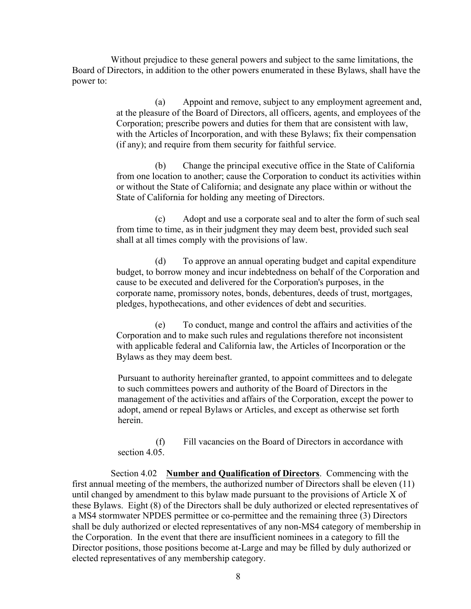Without prejudice to these general powers and subject to the same limitations, the Board of Directors, in addition to the other powers enumerated in these Bylaws, shall have the power to:

> (a) Appoint and remove, subject to any employment agreement and, at the pleasure of the Board of Directors, all officers, agents, and employees of the Corporation; prescribe powers and duties for them that are consistent with law, with the Articles of Incorporation, and with these Bylaws; fix their compensation (if any); and require from them security for faithful service.

> (b) Change the principal executive office in the State of California from one location to another; cause the Corporation to conduct its activities within or without the State of California; and designate any place within or without the State of California for holding any meeting of Directors.

> (c) Adopt and use a corporate seal and to alter the form of such seal from time to time, as in their judgment they may deem best, provided such seal shall at all times comply with the provisions of law.

> (d) To approve an annual operating budget and capital expenditure budget, to borrow money and incur indebtedness on behalf of the Corporation and cause to be executed and delivered for the Corporation's purposes, in the corporate name, promissory notes, bonds, debentures, deeds of trust, mortgages, pledges, hypothecations, and other evidences of debt and securities.

(e) To conduct, mange and control the affairs and activities of the Corporation and to make such rules and regulations therefore not inconsistent with applicable federal and California law, the Articles of Incorporation or the Bylaws as they may deem best.

Pursuant to authority hereinafter granted, to appoint committees and to delegate to such committees powers and authority of the Board of Directors in the management of the activities and affairs of the Corporation, except the power to adopt, amend or repeal Bylaws or Articles, and except as otherwise set forth herein.

(f) Fill vacancies on the Board of Directors in accordance with section 4.05.

Section 4.02 **Number and Qualification of Directors**. Commencing with the first annual meeting of the members, the authorized number of Directors shall be eleven (11) until changed by amendment to this bylaw made pursuant to the provisions of Article X of these Bylaws. Eight (8) of the Directors shall be duly authorized or elected representatives of a MS4 stormwater NPDES permittee or co-permittee and the remaining three (3) Directors shall be duly authorized or elected representatives of any non-MS4 category of membership in the Corporation. In the event that there are insufficient nominees in a category to fill the Director positions, those positions become at-Large and may be filled by duly authorized or elected representatives of any membership category.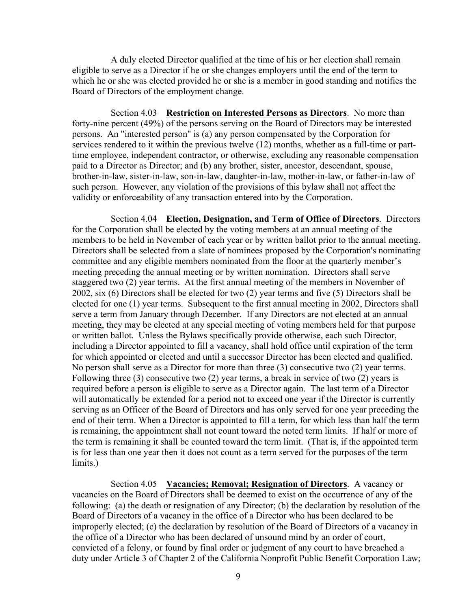A duly elected Director qualified at the time of his or her election shall remain eligible to serve as a Director if he or she changes employers until the end of the term to which he or she was elected provided he or she is a member in good standing and notifies the Board of Directors of the employment change.

Section 4.03 **Restriction on Interested Persons as Directors**. No more than forty-nine percent (49%) of the persons serving on the Board of Directors may be interested persons. An "interested person" is (a) any person compensated by the Corporation for services rendered to it within the previous twelve (12) months, whether as a full-time or parttime employee, independent contractor, or otherwise, excluding any reasonable compensation paid to a Director as Director; and (b) any brother, sister, ancestor, descendant, spouse, brother-in-law, sister-in-law, son-in-law, daughter-in-law, mother-in-law, or father-in-law of such person. However, any violation of the provisions of this bylaw shall not affect the validity or enforceability of any transaction entered into by the Corporation.

Section 4.04 **Election, Designation, and Term of Office of Directors**. Directors for the Corporation shall be elected by the voting members at an annual meeting of the members to be held in November of each year or by written ballot prior to the annual meeting. Directors shall be selected from a slate of nominees proposed by the Corporation's nominating committee and any eligible members nominated from the floor at the quarterly member's meeting preceding the annual meeting or by written nomination. Directors shall serve staggered two (2) year terms. At the first annual meeting of the members in November of 2002, six (6) Directors shall be elected for two (2) year terms and five (5) Directors shall be elected for one (1) year terms. Subsequent to the first annual meeting in 2002, Directors shall serve a term from January through December. If any Directors are not elected at an annual meeting, they may be elected at any special meeting of voting members held for that purpose or written ballot. Unless the Bylaws specifically provide otherwise, each such Director, including a Director appointed to fill a vacancy, shall hold office until expiration of the term for which appointed or elected and until a successor Director has been elected and qualified. No person shall serve as a Director for more than three (3) consecutive two (2) year terms. Following three (3) consecutive two (2) year terms, a break in service of two (2) years is required before a person is eligible to serve as a Director again. The last term of a Director will automatically be extended for a period not to exceed one year if the Director is currently serving as an Officer of the Board of Directors and has only served for one year preceding the end of their term. When a Director is appointed to fill a term, for which less than half the term is remaining, the appointment shall not count toward the noted term limits. If half or more of the term is remaining it shall be counted toward the term limit. (That is, if the appointed term is for less than one year then it does not count as a term served for the purposes of the term limits.)

Section 4.05 **Vacancies; Removal; Resignation of Directors**. A vacancy or vacancies on the Board of Directors shall be deemed to exist on the occurrence of any of the following: (a) the death or resignation of any Director; (b) the declaration by resolution of the Board of Directors of a vacancy in the office of a Director who has been declared to be improperly elected; (c) the declaration by resolution of the Board of Directors of a vacancy in the office of a Director who has been declared of unsound mind by an order of court, convicted of a felony, or found by final order or judgment of any court to have breached a duty under Article 3 of Chapter 2 of the California Nonprofit Public Benefit Corporation Law;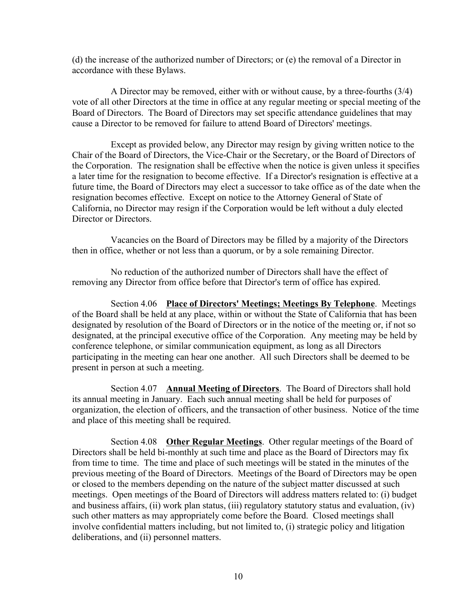(d) the increase of the authorized number of Directors; or (e) the removal of a Director in accordance with these Bylaws.

A Director may be removed, either with or without cause, by a three-fourths (3/4) vote of all other Directors at the time in office at any regular meeting or special meeting of the Board of Directors. The Board of Directors may set specific attendance guidelines that may cause a Director to be removed for failure to attend Board of Directors' meetings.

Except as provided below, any Director may resign by giving written notice to the Chair of the Board of Directors, the Vice-Chair or the Secretary, or the Board of Directors of the Corporation. The resignation shall be effective when the notice is given unless it specifies a later time for the resignation to become effective. If a Director's resignation is effective at a future time, the Board of Directors may elect a successor to take office as of the date when the resignation becomes effective. Except on notice to the Attorney General of State of California, no Director may resign if the Corporation would be left without a duly elected Director or Directors.

Vacancies on the Board of Directors may be filled by a majority of the Directors then in office, whether or not less than a quorum, or by a sole remaining Director.

No reduction of the authorized number of Directors shall have the effect of removing any Director from office before that Director's term of office has expired.

Section 4.06 **Place of Directors' Meetings; Meetings By Telephone**. Meetings of the Board shall be held at any place, within or without the State of California that has been designated by resolution of the Board of Directors or in the notice of the meeting or, if not so designated, at the principal executive office of the Corporation. Any meeting may be held by conference telephone, or similar communication equipment, as long as all Directors participating in the meeting can hear one another. All such Directors shall be deemed to be present in person at such a meeting.

Section 4.07 **Annual Meeting of Directors**. The Board of Directors shall hold its annual meeting in January. Each such annual meeting shall be held for purposes of organization, the election of officers, and the transaction of other business. Notice of the time and place of this meeting shall be required.

Section 4.08 **Other Regular Meetings**. Other regular meetings of the Board of Directors shall be held bi-monthly at such time and place as the Board of Directors may fix from time to time. The time and place of such meetings will be stated in the minutes of the previous meeting of the Board of Directors. Meetings of the Board of Directors may be open or closed to the members depending on the nature of the subject matter discussed at such meetings. Open meetings of the Board of Directors will address matters related to: (i) budget and business affairs, (ii) work plan status, (iii) regulatory statutory status and evaluation, (iv) such other matters as may appropriately come before the Board. Closed meetings shall involve confidential matters including, but not limited to, (i) strategic policy and litigation deliberations, and (ii) personnel matters.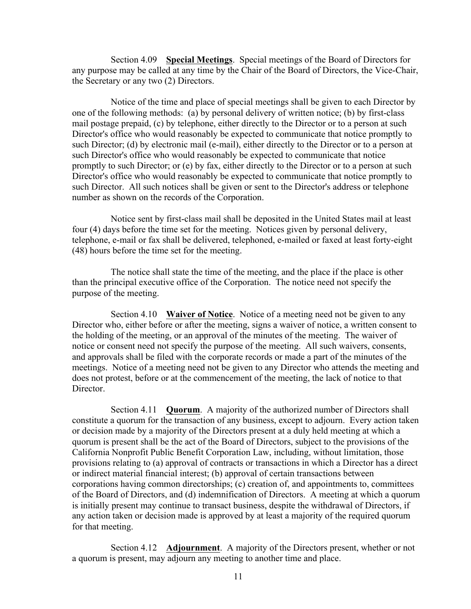Section 4.09 **Special Meetings**. Special meetings of the Board of Directors for any purpose may be called at any time by the Chair of the Board of Directors, the Vice-Chair, the Secretary or any two (2) Directors.

Notice of the time and place of special meetings shall be given to each Director by one of the following methods: (a) by personal delivery of written notice; (b) by first-class mail postage prepaid, (c) by telephone, either directly to the Director or to a person at such Director's office who would reasonably be expected to communicate that notice promptly to such Director; (d) by electronic mail (e-mail), either directly to the Director or to a person at such Director's office who would reasonably be expected to communicate that notice promptly to such Director; or (e) by fax, either directly to the Director or to a person at such Director's office who would reasonably be expected to communicate that notice promptly to such Director. All such notices shall be given or sent to the Director's address or telephone number as shown on the records of the Corporation.

Notice sent by first-class mail shall be deposited in the United States mail at least four (4) days before the time set for the meeting. Notices given by personal delivery, telephone, e-mail or fax shall be delivered, telephoned, e-mailed or faxed at least forty-eight (48) hours before the time set for the meeting.

The notice shall state the time of the meeting, and the place if the place is other than the principal executive office of the Corporation. The notice need not specify the purpose of the meeting.

Section 4.10 **Waiver of Notice**. Notice of a meeting need not be given to any Director who, either before or after the meeting, signs a waiver of notice, a written consent to the holding of the meeting, or an approval of the minutes of the meeting. The waiver of notice or consent need not specify the purpose of the meeting. All such waivers, consents, and approvals shall be filed with the corporate records or made a part of the minutes of the meetings. Notice of a meeting need not be given to any Director who attends the meeting and does not protest, before or at the commencement of the meeting, the lack of notice to that Director.

Section 4.11 **Quorum**. A majority of the authorized number of Directors shall constitute a quorum for the transaction of any business, except to adjourn. Every action taken or decision made by a majority of the Directors present at a duly held meeting at which a quorum is present shall be the act of the Board of Directors, subject to the provisions of the California Nonprofit Public Benefit Corporation Law, including, without limitation, those provisions relating to (a) approval of contracts or transactions in which a Director has a direct or indirect material financial interest; (b) approval of certain transactions between corporations having common directorships; (c) creation of, and appointments to, committees of the Board of Directors, and (d) indemnification of Directors. A meeting at which a quorum is initially present may continue to transact business, despite the withdrawal of Directors, if any action taken or decision made is approved by at least a majority of the required quorum for that meeting.

Section 4.12 **Adjournment**. A majority of the Directors present, whether or not a quorum is present, may adjourn any meeting to another time and place.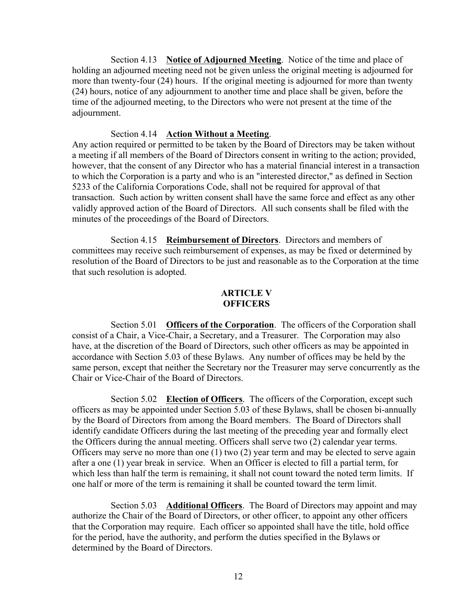Section 4.13 **Notice of Adjourned Meeting**. Notice of the time and place of holding an adjourned meeting need not be given unless the original meeting is adjourned for more than twenty-four (24) hours. If the original meeting is adjourned for more than twenty (24) hours, notice of any adjournment to another time and place shall be given, before the time of the adjourned meeting, to the Directors who were not present at the time of the adjournment.

#### Section 4.14 **Action Without a Meeting**.

Any action required or permitted to be taken by the Board of Directors may be taken without a meeting if all members of the Board of Directors consent in writing to the action; provided, however, that the consent of any Director who has a material financial interest in a transaction to which the Corporation is a party and who is an "interested director," as defined in Section 5233 of the California Corporations Code, shall not be required for approval of that transaction. Such action by written consent shall have the same force and effect as any other validly approved action of the Board of Directors. All such consents shall be filed with the minutes of the proceedings of the Board of Directors.

Section 4.15 **Reimbursement of Directors**. Directors and members of committees may receive such reimbursement of expenses, as may be fixed or determined by resolution of the Board of Directors to be just and reasonable as to the Corporation at the time that such resolution is adopted.

#### **ARTICLE V OFFICERS**

Section 5.01 **Officers of the Corporation**. The officers of the Corporation shall consist of a Chair, a Vice-Chair, a Secretary, and a Treasurer. The Corporation may also have, at the discretion of the Board of Directors, such other officers as may be appointed in accordance with Section 5.03 of these Bylaws. Any number of offices may be held by the same person, except that neither the Secretary nor the Treasurer may serve concurrently as the Chair or Vice-Chair of the Board of Directors.

Section 5.02 **Election of Officers**. The officers of the Corporation, except such officers as may be appointed under Section 5.03 of these Bylaws, shall be chosen bi-annually by the Board of Directors from among the Board members. The Board of Directors shall identify candidate Officers during the last meeting of the preceding year and formally elect the Officers during the annual meeting. Officers shall serve two (2) calendar year terms. Officers may serve no more than one (1) two (2) year term and may be elected to serve again after a one (1) year break in service. When an Officer is elected to fill a partial term, for which less than half the term is remaining, it shall not count toward the noted term limits. If one half or more of the term is remaining it shall be counted toward the term limit.

Section 5.03 **Additional Officers**. The Board of Directors may appoint and may authorize the Chair of the Board of Directors, or other officer, to appoint any other officers that the Corporation may require. Each officer so appointed shall have the title, hold office for the period, have the authority, and perform the duties specified in the Bylaws or determined by the Board of Directors.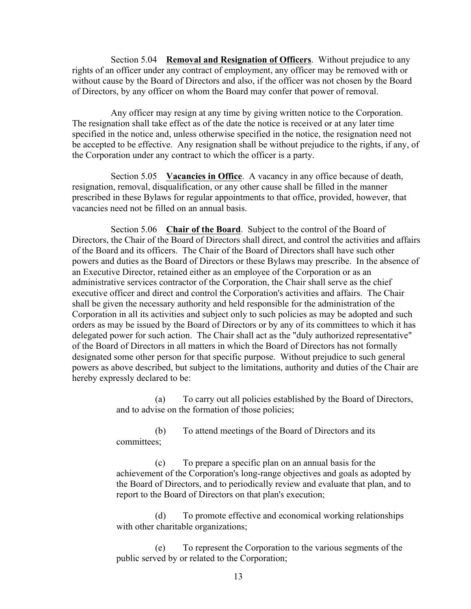Section 5.04 **Removal and Resignation of Officers**. Without prejudice to any rights of an officer under any contract of employment, any officer may be removed with or without cause by the Board of Directors and also, if the officer was not chosen by the Board of Directors, by any officer on whom the Board may confer that power of removal.

Any officer may resign at any time by giving written notice to the Corporation. The resignation shall take effect as of the date the notice is received or at any later time specified in the notice and, unless otherwise specified in the notice, the resignation need not be accepted to be effective. Any resignation shall be without prejudice to the rights, if any, of the Corporation under any contract to which the officer is a party.

Section 5.05 **Vacancies in Office**. A vacancy in any office because of death, resignation, removal, disqualification, or any other cause shall be filled in the manner prescribed in these Bylaws for regular appointments to that office, provided, however, that vacancies need not be filled on an annual basis.

Section 5.06 **Chair of the Board**. Subject to the control of the Board of Directors, the Chair of the Board of Directors shall direct, and control the activities and affairs of the Board and its officers. The Chair of the Board of Directors shall have such other powers and duties as the Board of Directors or these Bylaws may prescribe. In the absence of an Executive Director, retained either as an employee of the Corporation or as an administrative services contractor of the Corporation, the Chair shall serve as the chief executive officer and direct and control the Corporation's activities and affairs. The Chair shall be given the necessary authority and held responsible for the administration of the Corporation in all its activities and subject only to such policies as may be adopted and such orders as may be issued by the Board of Directors or by any of its committees to which it has delegated power for such action. The Chair shall act as the "duly authorized representative" of the Board of Directors in all matters in which the Board of Directors has not formally designated some other person for that specific purpose. Without prejudice to such general powers as above described, but subject to the limitations, authority and duties of the Chair are hereby expressly declared to be:

> (a) To carry out all policies established by the Board of Directors, and to advise on the formation of those policies;

(b) To attend meetings of the Board of Directors and its committees;

(c) To prepare a specific plan on an annual basis for the achievement of the Corporation's long-range objectives and goals as adopted by the Board of Directors, and to periodically review and evaluate that plan, and to report to the Board of Directors on that plan's execution;

(d) To promote effective and economical working relationships with other charitable organizations;

(e) To represent the Corporation to the various segments of the public served by or related to the Corporation;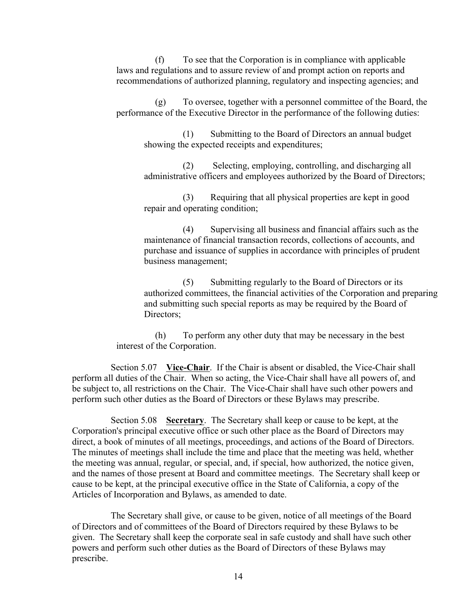(f) To see that the Corporation is in compliance with applicable laws and regulations and to assure review of and prompt action on reports and recommendations of authorized planning, regulatory and inspecting agencies; and

(g) To oversee, together with a personnel committee of the Board, the performance of the Executive Director in the performance of the following duties:

(1) Submitting to the Board of Directors an annual budget showing the expected receipts and expenditures;

(2) Selecting, employing, controlling, and discharging all administrative officers and employees authorized by the Board of Directors;

(3) Requiring that all physical properties are kept in good repair and operating condition;

(4) Supervising all business and financial affairs such as the maintenance of financial transaction records, collections of accounts, and purchase and issuance of supplies in accordance with principles of prudent business management;

(5) Submitting regularly to the Board of Directors or its authorized committees, the financial activities of the Corporation and preparing and submitting such special reports as may be required by the Board of Directors:

(h) To perform any other duty that may be necessary in the best interest of the Corporation.

Section 5.07 **Vice-Chair**. If the Chair is absent or disabled, the Vice-Chair shall perform all duties of the Chair. When so acting, the Vice-Chair shall have all powers of, and be subject to, all restrictions on the Chair. The Vice-Chair shall have such other powers and perform such other duties as the Board of Directors or these Bylaws may prescribe.

Section 5.08 **Secretary**. The Secretary shall keep or cause to be kept, at the Corporation's principal executive office or such other place as the Board of Directors may direct, a book of minutes of all meetings, proceedings, and actions of the Board of Directors. The minutes of meetings shall include the time and place that the meeting was held, whether the meeting was annual, regular, or special, and, if special, how authorized, the notice given, and the names of those present at Board and committee meetings. The Secretary shall keep or cause to be kept, at the principal executive office in the State of California, a copy of the Articles of Incorporation and Bylaws, as amended to date.

The Secretary shall give, or cause to be given, notice of all meetings of the Board of Directors and of committees of the Board of Directors required by these Bylaws to be given. The Secretary shall keep the corporate seal in safe custody and shall have such other powers and perform such other duties as the Board of Directors of these Bylaws may prescribe.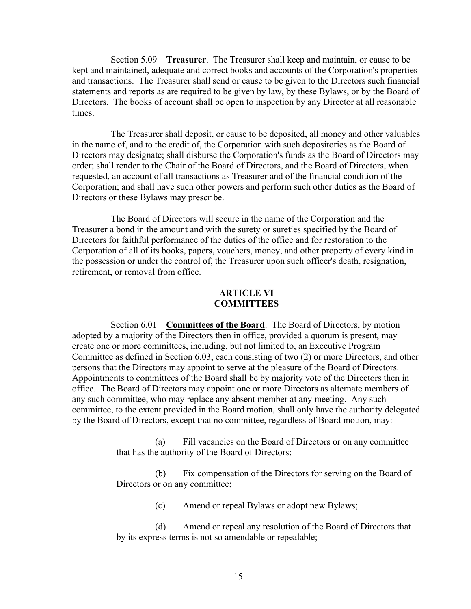Section 5.09 **Treasurer**. The Treasurer shall keep and maintain, or cause to be kept and maintained, adequate and correct books and accounts of the Corporation's properties and transactions. The Treasurer shall send or cause to be given to the Directors such financial statements and reports as are required to be given by law, by these Bylaws, or by the Board of Directors. The books of account shall be open to inspection by any Director at all reasonable times.

The Treasurer shall deposit, or cause to be deposited, all money and other valuables in the name of, and to the credit of, the Corporation with such depositories as the Board of Directors may designate; shall disburse the Corporation's funds as the Board of Directors may order; shall render to the Chair of the Board of Directors, and the Board of Directors, when requested, an account of all transactions as Treasurer and of the financial condition of the Corporation; and shall have such other powers and perform such other duties as the Board of Directors or these Bylaws may prescribe.

The Board of Directors will secure in the name of the Corporation and the Treasurer a bond in the amount and with the surety or sureties specified by the Board of Directors for faithful performance of the duties of the office and for restoration to the Corporation of all of its books, papers, vouchers, money, and other property of every kind in the possession or under the control of, the Treasurer upon such officer's death, resignation, retirement, or removal from office.

#### **ARTICLE VI COMMITTEES**

Section 6.01 **Committees of the Board**. The Board of Directors, by motion adopted by a majority of the Directors then in office, provided a quorum is present, may create one or more committees, including, but not limited to, an Executive Program Committee as defined in Section 6.03, each consisting of two (2) or more Directors, and other persons that the Directors may appoint to serve at the pleasure of the Board of Directors. Appointments to committees of the Board shall be by majority vote of the Directors then in office. The Board of Directors may appoint one or more Directors as alternate members of any such committee, who may replace any absent member at any meeting. Any such committee, to the extent provided in the Board motion, shall only have the authority delegated by the Board of Directors, except that no committee, regardless of Board motion, may:

> (a) Fill vacancies on the Board of Directors or on any committee that has the authority of the Board of Directors;

> (b) Fix compensation of the Directors for serving on the Board of Directors or on any committee;

> > (c) Amend or repeal Bylaws or adopt new Bylaws;

(d) Amend or repeal any resolution of the Board of Directors that by its express terms is not so amendable or repealable;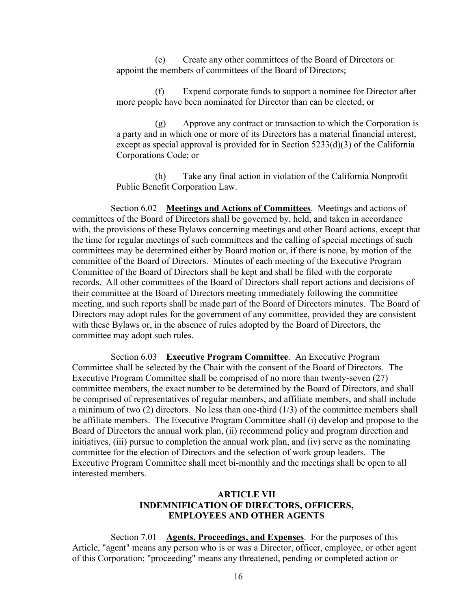(e) Create any other committees of the Board of Directors or appoint the members of committees of the Board of Directors;

(f) Expend corporate funds to support a nominee for Director after more people have been nominated for Director than can be elected; or

(g) Approve any contract or transaction to which the Corporation is a party and in which one or more of its Directors has a material financial interest, except as special approval is provided for in Section 5233(d)(3) of the California Corporations Code; or

(h) Take any final action in violation of the California Nonprofit Public Benefit Corporation Law.

Section 6.02 **Meetings and Actions of Committees**. Meetings and actions of committees of the Board of Directors shall be governed by, held, and taken in accordance with, the provisions of these Bylaws concerning meetings and other Board actions, except that the time for regular meetings of such committees and the calling of special meetings of such committees may be determined either by Board motion or, if there is none, by motion of the committee of the Board of Directors. Minutes of each meeting of the Executive Program Committee of the Board of Directors shall be kept and shall be filed with the corporate records. All other committees of the Board of Directors shall report actions and decisions of their committee at the Board of Directors meeting immediately following the committee meeting, and such reports shall be made part of the Board of Directors minutes. The Board of Directors may adopt rules for the government of any committee, provided they are consistent with these Bylaws or, in the absence of rules adopted by the Board of Directors, the committee may adopt such rules.

Section 6.03 **Executive Program Committee**. An Executive Program Committee shall be selected by the Chair with the consent of the Board of Directors. The Executive Program Committee shall be comprised of no more than twenty-seven (27) committee members, the exact number to be determined by the Board of Directors, and shall be comprised of representatives of regular members, and affiliate members, and shall include a minimum of two (2) directors. No less than one-third (1/3) of the committee members shall be affiliate members. The Executive Program Committee shall (i) develop and propose to the Board of Directors the annual work plan, (ii) recommend policy and program direction and initiatives, (iii) pursue to completion the annual work plan, and (iv) serve as the nominating committee for the election of Directors and the selection of work group leaders. The Executive Program Committee shall meet bi-monthly and the meetings shall be open to all interested members.

#### **ARTICLE VII INDEMNIFICATION OF DIRECTORS, OFFICERS, EMPLOYEES AND OTHER AGENTS**

Section 7.01 **Agents, Proceedings, and Expenses**. For the purposes of this Article, "agent" means any person who is or was a Director, officer, employee, or other agent of this Corporation; "proceeding" means any threatened, pending or completed action or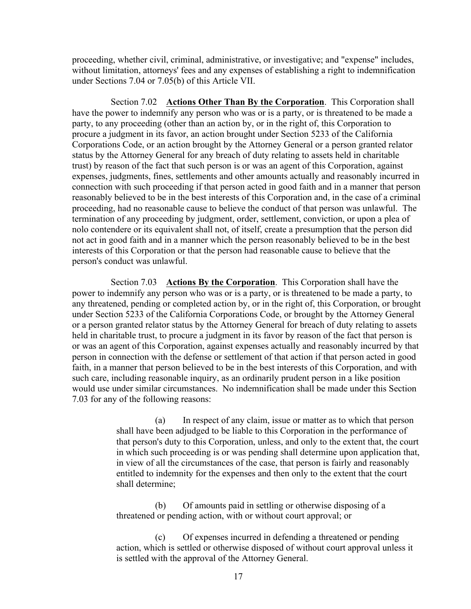proceeding, whether civil, criminal, administrative, or investigative; and "expense" includes, without limitation, attorneys' fees and any expenses of establishing a right to indemnification under Sections 7.04 or 7.05(b) of this Article VII.

Section 7.02 **Actions Other Than By the Corporation**. This Corporation shall have the power to indemnify any person who was or is a party, or is threatened to be made a party, to any proceeding (other than an action by, or in the right of, this Corporation to procure a judgment in its favor, an action brought under Section 5233 of the California Corporations Code, or an action brought by the Attorney General or a person granted relator status by the Attorney General for any breach of duty relating to assets held in charitable trust) by reason of the fact that such person is or was an agent of this Corporation, against expenses, judgments, fines, settlements and other amounts actually and reasonably incurred in connection with such proceeding if that person acted in good faith and in a manner that person reasonably believed to be in the best interests of this Corporation and, in the case of a criminal proceeding, had no reasonable cause to believe the conduct of that person was unlawful. The termination of any proceeding by judgment, order, settlement, conviction, or upon a plea of nolo contendere or its equivalent shall not, of itself, create a presumption that the person did not act in good faith and in a manner which the person reasonably believed to be in the best interests of this Corporation or that the person had reasonable cause to believe that the person's conduct was unlawful.

Section 7.03 **Actions By the Corporation**. This Corporation shall have the power to indemnify any person who was or is a party, or is threatened to be made a party, to any threatened, pending or completed action by, or in the right of, this Corporation, or brought under Section 5233 of the California Corporations Code, or brought by the Attorney General or a person granted relator status by the Attorney General for breach of duty relating to assets held in charitable trust, to procure a judgment in its favor by reason of the fact that person is or was an agent of this Corporation, against expenses actually and reasonably incurred by that person in connection with the defense or settlement of that action if that person acted in good faith, in a manner that person believed to be in the best interests of this Corporation, and with such care, including reasonable inquiry, as an ordinarily prudent person in a like position would use under similar circumstances. No indemnification shall be made under this Section 7.03 for any of the following reasons:

> (a) In respect of any claim, issue or matter as to which that person shall have been adjudged to be liable to this Corporation in the performance of that person's duty to this Corporation, unless, and only to the extent that, the court in which such proceeding is or was pending shall determine upon application that, in view of all the circumstances of the case, that person is fairly and reasonably entitled to indemnity for the expenses and then only to the extent that the court shall determine;

(b) Of amounts paid in settling or otherwise disposing of a threatened or pending action, with or without court approval; or

(c) Of expenses incurred in defending a threatened or pending action, which is settled or otherwise disposed of without court approval unless it is settled with the approval of the Attorney General.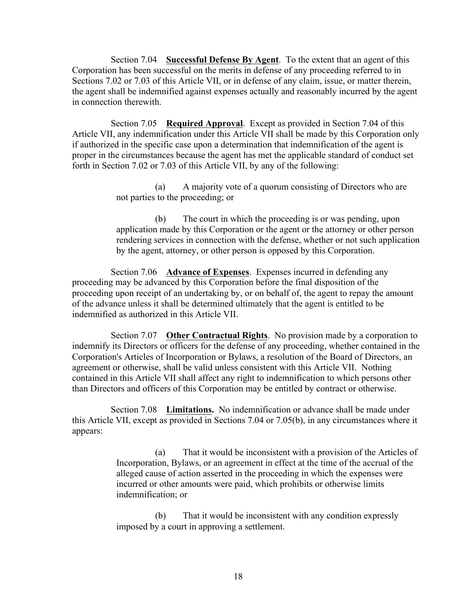Section 7.04 **Successful Defense By Agent**. To the extent that an agent of this Corporation has been successful on the merits in defense of any proceeding referred to in Sections 7.02 or 7.03 of this Article VII, or in defense of any claim, issue, or matter therein, the agent shall be indemnified against expenses actually and reasonably incurred by the agent in connection therewith.

Section 7.05 **Required Approval**. Except as provided in Section 7.04 of this Article VII, any indemnification under this Article VII shall be made by this Corporation only if authorized in the specific case upon a determination that indemnification of the agent is proper in the circumstances because the agent has met the applicable standard of conduct set forth in Section 7.02 or 7.03 of this Article VII, by any of the following:

> (a) A majority vote of a quorum consisting of Directors who are not parties to the proceeding; or

(b) The court in which the proceeding is or was pending, upon application made by this Corporation or the agent or the attorney or other person rendering services in connection with the defense, whether or not such application by the agent, attorney, or other person is opposed by this Corporation.

Section 7.06 **Advance of Expenses**. Expenses incurred in defending any proceeding may be advanced by this Corporation before the final disposition of the proceeding upon receipt of an undertaking by, or on behalf of, the agent to repay the amount of the advance unless it shall be determined ultimately that the agent is entitled to be indemnified as authorized in this Article VII.

Section 7.07 **Other Contractual Rights**. No provision made by a corporation to indemnify its Directors or officers for the defense of any proceeding, whether contained in the Corporation's Articles of Incorporation or Bylaws, a resolution of the Board of Directors, an agreement or otherwise, shall be valid unless consistent with this Article VII. Nothing contained in this Article VII shall affect any right to indemnification to which persons other than Directors and officers of this Corporation may be entitled by contract or otherwise.

Section 7.08 **Limitations.** No indemnification or advance shall be made under this Article VII, except as provided in Sections 7.04 or 7.05(b), in any circumstances where it appears:

> (a) That it would be inconsistent with a provision of the Articles of Incorporation, Bylaws, or an agreement in effect at the time of the accrual of the alleged cause of action asserted in the proceeding in which the expenses were incurred or other amounts were paid, which prohibits or otherwise limits indemnification; or

(b) That it would be inconsistent with any condition expressly imposed by a court in approving a settlement.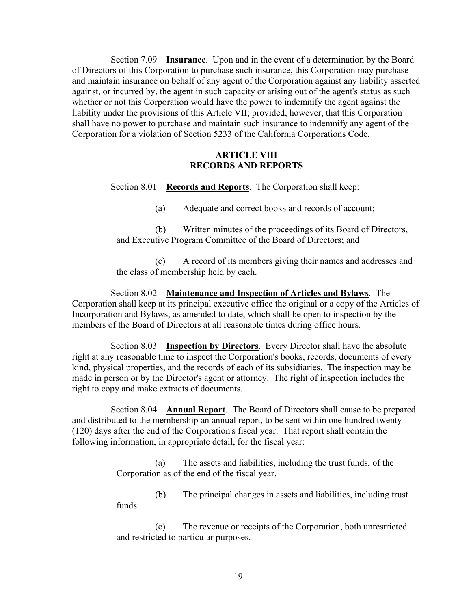Section 7.09 **Insurance**. Upon and in the event of a determination by the Board of Directors of this Corporation to purchase such insurance, this Corporation may purchase and maintain insurance on behalf of any agent of the Corporation against any liability asserted against, or incurred by, the agent in such capacity or arising out of the agent's status as such whether or not this Corporation would have the power to indemnify the agent against the liability under the provisions of this Article VII; provided, however, that this Corporation shall have no power to purchase and maintain such insurance to indemnify any agent of the Corporation for a violation of Section 5233 of the California Corporations Code.

#### **ARTICLE VIII RECORDS AND REPORTS**

Section 8.01 **Records and Reports**. The Corporation shall keep:

(a) Adequate and correct books and records of account;

(b) Written minutes of the proceedings of its Board of Directors, and Executive Program Committee of the Board of Directors; and

(c) A record of its members giving their names and addresses and the class of membership held by each.

Section 8.02 **Maintenance and Inspection of Articles and Bylaws**. The Corporation shall keep at its principal executive office the original or a copy of the Articles of Incorporation and Bylaws, as amended to date, which shall be open to inspection by the members of the Board of Directors at all reasonable times during office hours.

Section 8.03 **Inspection by Directors**. Every Director shall have the absolute right at any reasonable time to inspect the Corporation's books, records, documents of every kind, physical properties, and the records of each of its subsidiaries. The inspection may be made in person or by the Director's agent or attorney. The right of inspection includes the right to copy and make extracts of documents.

Section 8.04 **Annual Report**. The Board of Directors shall cause to be prepared and distributed to the membership an annual report, to be sent within one hundred twenty (120) days after the end of the Corporation's fiscal year. That report shall contain the following information, in appropriate detail, for the fiscal year:

> (a) The assets and liabilities, including the trust funds, of the Corporation as of the end of the fiscal year.

(b) The principal changes in assets and liabilities, including trust funds.

(c) The revenue or receipts of the Corporation, both unrestricted and restricted to particular purposes.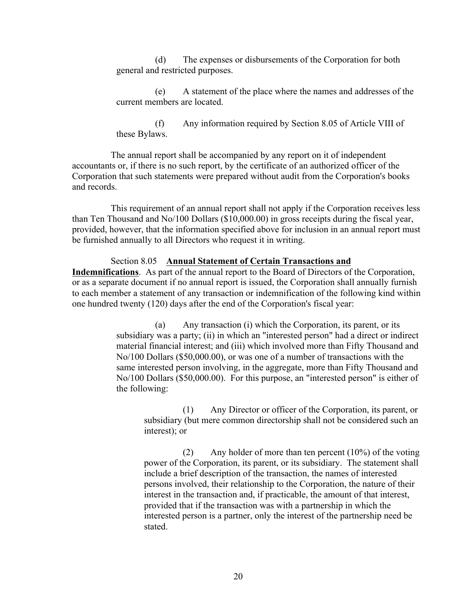(d) The expenses or disbursements of the Corporation for both general and restricted purposes.

(e) A statement of the place where the names and addresses of the current members are located.

(f) Any information required by Section 8.05 of Article VIII of these Bylaws.

The annual report shall be accompanied by any report on it of independent accountants or, if there is no such report, by the certificate of an authorized officer of the Corporation that such statements were prepared without audit from the Corporation's books and records.

This requirement of an annual report shall not apply if the Corporation receives less than Ten Thousand and No/100 Dollars (\$10,000.00) in gross receipts during the fiscal year, provided, however, that the information specified above for inclusion in an annual report must be furnished annually to all Directors who request it in writing.

Section 8.05 **Annual Statement of Certain Transactions and Indemnifications**. As part of the annual report to the Board of Directors of the Corporation, or as a separate document if no annual report is issued, the Corporation shall annually furnish to each member a statement of any transaction or indemnification of the following kind within one hundred twenty (120) days after the end of the Corporation's fiscal year:

> (a) Any transaction (i) which the Corporation, its parent, or its subsidiary was a party; (ii) in which an "interested person" had a direct or indirect material financial interest; and (iii) which involved more than Fifty Thousand and No/100 Dollars (\$50,000.00), or was one of a number of transactions with the same interested person involving, in the aggregate, more than Fifty Thousand and No/100 Dollars (\$50,000.00). For this purpose, an "interested person" is either of the following:

(1) Any Director or officer of the Corporation, its parent, or subsidiary (but mere common directorship shall not be considered such an interest); or

(2) Any holder of more than ten percent (10%) of the voting power of the Corporation, its parent, or its subsidiary. The statement shall include a brief description of the transaction, the names of interested persons involved, their relationship to the Corporation, the nature of their interest in the transaction and, if practicable, the amount of that interest, provided that if the transaction was with a partnership in which the interested person is a partner, only the interest of the partnership need be stated.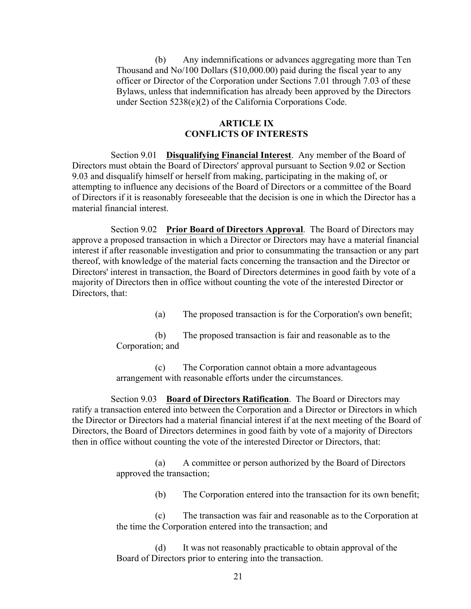(b) Any indemnifications or advances aggregating more than Ten Thousand and No/100 Dollars (\$10,000.00) paid during the fiscal year to any officer or Director of the Corporation under Sections 7.01 through 7.03 of these Bylaws, unless that indemnification has already been approved by the Directors under Section 5238(e)(2) of the California Corporations Code.

#### **ARTICLE IX CONFLICTS OF INTERESTS**

Section 9.01 **Disqualifying Financial Interest**. Any member of the Board of Directors must obtain the Board of Directors' approval pursuant to Section 9.02 or Section 9.03 and disqualify himself or herself from making, participating in the making of, or attempting to influence any decisions of the Board of Directors or a committee of the Board of Directors if it is reasonably foreseeable that the decision is one in which the Director has a material financial interest.

Section 9.02 **Prior Board of Directors Approval**. The Board of Directors may approve a proposed transaction in which a Director or Directors may have a material financial interest if after reasonable investigation and prior to consummating the transaction or any part thereof, with knowledge of the material facts concerning the transaction and the Director or Directors' interest in transaction, the Board of Directors determines in good faith by vote of a majority of Directors then in office without counting the vote of the interested Director or Directors, that:

(a) The proposed transaction is for the Corporation's own benefit;

(b) The proposed transaction is fair and reasonable as to the Corporation; and

(c) The Corporation cannot obtain a more advantageous arrangement with reasonable efforts under the circumstances.

Section 9.03 **Board of Directors Ratification**. The Board or Directors may ratify a transaction entered into between the Corporation and a Director or Directors in which the Director or Directors had a material financial interest if at the next meeting of the Board of Directors, the Board of Directors determines in good faith by vote of a majority of Directors then in office without counting the vote of the interested Director or Directors, that:

> (a) A committee or person authorized by the Board of Directors approved the transaction;

> > (b) The Corporation entered into the transaction for its own benefit;

(c) The transaction was fair and reasonable as to the Corporation at the time the Corporation entered into the transaction; and

(d) It was not reasonably practicable to obtain approval of the Board of Directors prior to entering into the transaction.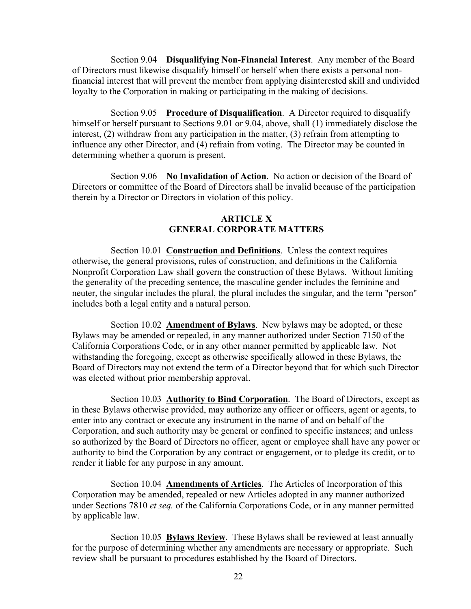Section 9.04 **Disqualifying Non-Financial Interest**. Any member of the Board of Directors must likewise disqualify himself or herself when there exists a personal nonfinancial interest that will prevent the member from applying disinterested skill and undivided loyalty to the Corporation in making or participating in the making of decisions.

Section 9.05 **Procedure of Disqualification**. A Director required to disqualify himself or herself pursuant to Sections 9.01 or 9.04, above, shall (1) immediately disclose the interest, (2) withdraw from any participation in the matter, (3) refrain from attempting to influence any other Director, and (4) refrain from voting. The Director may be counted in determining whether a quorum is present.

Section 9.06 **No Invalidation of Action**. No action or decision of the Board of Directors or committee of the Board of Directors shall be invalid because of the participation therein by a Director or Directors in violation of this policy.

#### **ARTICLE X GENERAL CORPORATE MATTERS**

Section 10.01 **Construction and Definitions**. Unless the context requires otherwise, the general provisions, rules of construction, and definitions in the California Nonprofit Corporation Law shall govern the construction of these Bylaws. Without limiting the generality of the preceding sentence, the masculine gender includes the feminine and neuter, the singular includes the plural, the plural includes the singular, and the term "person" includes both a legal entity and a natural person.

Section 10.02 **Amendment of Bylaws**. New bylaws may be adopted, or these Bylaws may be amended or repealed, in any manner authorized under Section 7150 of the California Corporations Code, or in any other manner permitted by applicable law. Not withstanding the foregoing, except as otherwise specifically allowed in these Bylaws, the Board of Directors may not extend the term of a Director beyond that for which such Director was elected without prior membership approval.

Section 10.03 **Authority to Bind Corporation**. The Board of Directors, except as in these Bylaws otherwise provided, may authorize any officer or officers, agent or agents, to enter into any contract or execute any instrument in the name of and on behalf of the Corporation, and such authority may be general or confined to specific instances; and unless so authorized by the Board of Directors no officer, agent or employee shall have any power or authority to bind the Corporation by any contract or engagement, or to pledge its credit, or to render it liable for any purpose in any amount.

Section 10.04 **Amendments of Articles**. The Articles of Incorporation of this Corporation may be amended, repealed or new Articles adopted in any manner authorized under Sections 7810 *et seq.* of the California Corporations Code, or in any manner permitted by applicable law.

Section 10.05 **Bylaws Review**. These Bylaws shall be reviewed at least annually for the purpose of determining whether any amendments are necessary or appropriate. Such review shall be pursuant to procedures established by the Board of Directors.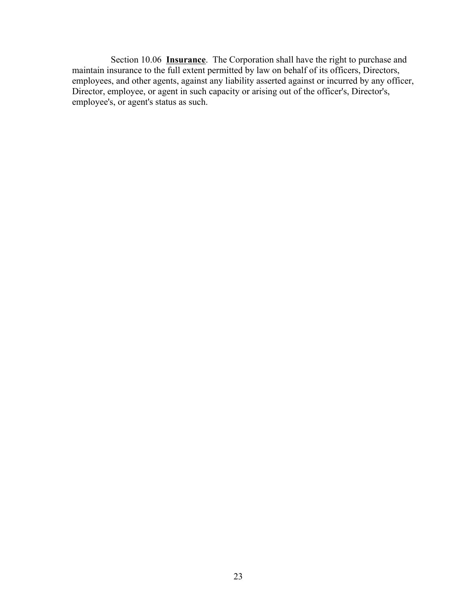Section 10.06 **Insurance**. The Corporation shall have the right to purchase and maintain insurance to the full extent permitted by law on behalf of its officers, Directors, employees, and other agents, against any liability asserted against or incurred by any officer, Director, employee, or agent in such capacity or arising out of the officer's, Director's, employee's, or agent's status as such.